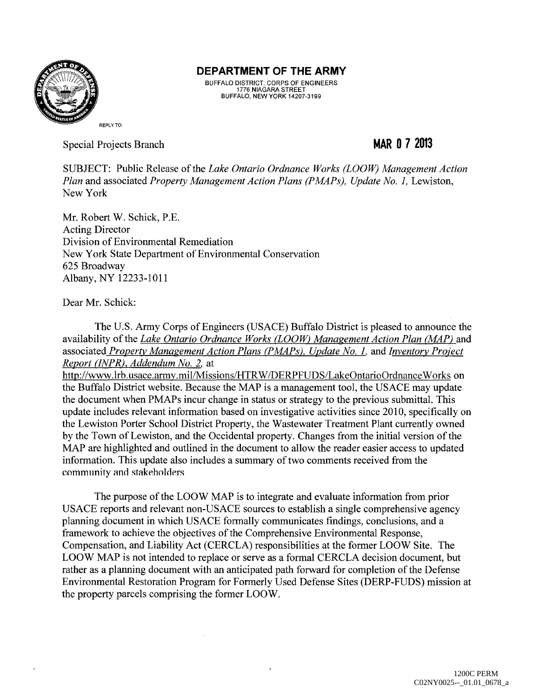

## **DEPARTMENT OF THE ARMY**

BUFFALO DISTRICT, CORPS OF ENGINEERS 1776 NIAGARA STREET BUFFALO, NEW YORK 14207-3199

Special Projects Branch

## **MAR 0 7 2013**

SUBJECT: Public Release of the *Lake Ontario Ordnance Works (LOOW) Management Action Plan and associated Property Management Action Plans (PMAPs), Update No. 1, Lewiston,* New York

Mr. Robert W. Schick, P.E. Acting Director Division of Environmental Remediation New York State Department of Environmental Conservation 625 Broadway Albany, NY 12233-1011

Dear Mr. Schick:

The U.S. Army Corps of Engineers (USACE) Buffalo District is pleased to announce the availability of the *Lake Ontario Ordnance Works CLOOW) Management Action Plan (MAP)* and associated *Property Management Action Plans (PMAPs), Update No. l,* and *Inventory Project Report (INPR), Addendum No. 2.* at

http://www.lrb.usace.army.mil/Missions/HTRW/DERPFUDS/LakeOntarioOrdnanceWorks on the Buffalo District website. Because the MAP is a management tool, the USACE may update the document when PMAPs incur change in status or strategy to the previous submittal. This update includes relevant information based on investigative activities since 2010, specifically on the Lewiston Porter School District Property, the Wastewater Treatment Plant currently owned by the Town of Lewiston, and the Occidental property. Changes from the initial version of the MAP are highlighted and outlined in the document to allow the reader easier access to updated information. This update also includes a summary of two comments received from the community and stakeholders

The purpose of the LOOW MAP is to integrate and evaluate information from prior USACE reports and relevant non-USACE sources to establish a single comprehensive agency planning document in which USACE formally communicates findings, conclusions, and a framework to achieve the objectives of the Comprehensive Environmental Response, Compensation, and Liability Act (CERCLA) responsibilities at the former LOOW Site. The LOOW MAP is not intended to replace or serve as a formal CERCLA decision document, but rather as a planning document with an anticipated path forward for completion of the Defense Environmental Restoration Program for Formerly Used Defense Sites (DERP-FUDS) mission at the property parcels comprising the former LOOW.